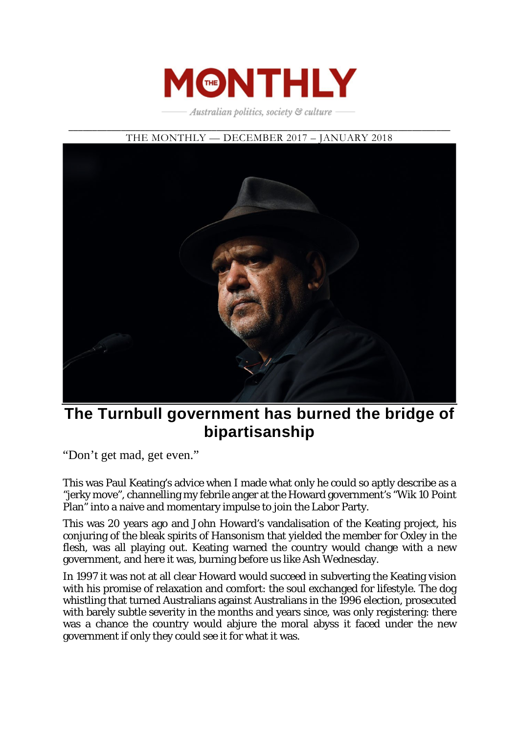

Australian politics, society & culture

\_\_\_\_\_\_\_\_\_\_\_\_\_\_\_\_\_\_\_\_\_\_\_\_\_\_\_\_\_\_\_\_\_\_\_\_\_\_\_\_\_\_\_\_\_\_\_\_\_\_\_\_\_\_\_\_\_\_\_\_\_\_\_\_\_\_\_\_\_\_\_\_\_\_\_\_\_\_\_\_



# **The Turnbull government has burned the bridge of bipartisanship**

"Don't get mad, get even."

This was Paul Keating's advice when I made what only he could so aptly describe as a "jerky move", channelling my febrile anger at the Howard government's "Wik 10 Point Plan" into a naive and momentary impulse to join the Labor Party.

This was 20 years ago and John Howard's vandalisation of the Keating project, his conjuring of the bleak spirits of Hansonism that yielded the member for Oxley in the flesh, was all playing out. Keating warned the country would change with a new government, and here it was, burning before us like Ash Wednesday.

In 1997 it was not at all clear Howard would succeed in subverting the Keating vision with his promise of relaxation and comfort: the soul exchanged for lifestyle. The dog whistling that turned Australians against Australians in the 1996 election, prosecuted with barely subtle severity in the months and years since, was only registering: there was a chance the country would abjure the moral abyss it faced under the new government if only they could see it for what it was.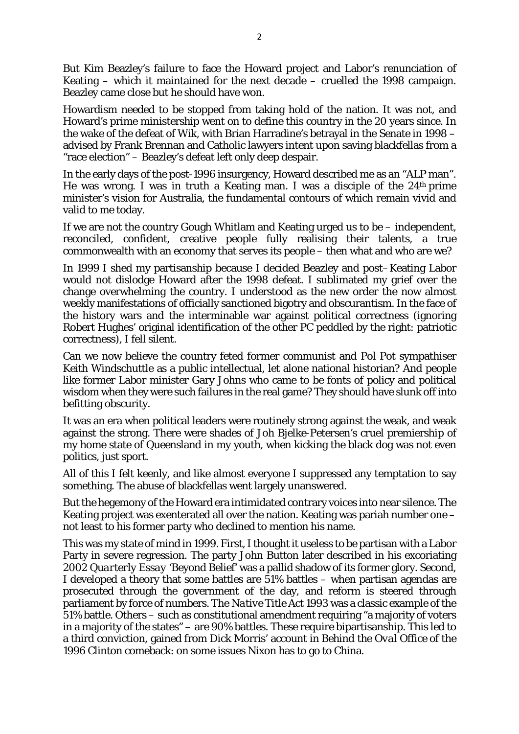But Kim Beazley's failure to face the Howard project and Labor's renunciation of Keating – which it maintained for the next decade – cruelled the 1998 campaign. Beazley came close but he should have won.

Howardism needed to be stopped from taking hold of the nation. It was not, and Howard's prime ministership went on to define this country in the 20 years since. In the wake of the defeat of Wik, with Brian Harradine's betrayal in the Senate in 1998 – advised by Frank Brennan and Catholic lawyers intent upon saving blackfellas from a "race election" – Beazley's defeat left only deep despair.

In the early days of the post-1996 insurgency, Howard described me as an "ALP man". He was wrong. I was in truth a Keating man. I was a disciple of the 24th prime minister's vision for Australia, the fundamental contours of which remain vivid and valid to me today.

If we are not the country Gough Whitlam and Keating urged us to be – independent, reconciled, confident, creative people fully realising their talents, a true commonwealth with an economy that serves its people – then what and who are we?

In 1999 I shed my partisanship because I decided Beazley and post–Keating Labor would not dislodge Howard after the 1998 defeat. I sublimated my grief over the change overwhelming the country. I understood as the new order the now almost weekly manifestations of officially sanctioned bigotry and obscurantism. In the face of the history wars and the interminable war against political correctness (ignoring Robert Hughes' original identification of the other PC peddled by the right: patriotic correctness), I fell silent.

Can we now believe the country feted former communist and Pol Pot sympathiser Keith Windschuttle as a public intellectual, let alone national historian? And people like former Labor minister Gary Johns who came to be fonts of policy and political wisdom when they were such failures in the real game? They should have slunk off into befitting obscurity.

It was an era when political leaders were routinely strong against the weak, and weak against the strong. There were shades of Joh Bjelke-Petersen's cruel premiership of my home state of Queensland in my youth, when kicking the black dog was not even politics, just sport.

All of this I felt keenly, and like almost everyone I suppressed any temptation to say something. The abuse of blackfellas went largely unanswered.

But the hegemony of the Howard era intimidated contrary voices into near silence. The Keating project was exenterated all over the nation. Keating was pariah number one – not least to his former party who declined to mention his name.

This was my state of mind in 1999. First, I thought it useless to be partisan with a Labor Party in severe regression. The party John Button later described in his excoriating 2002 *Quarterly Essay* 'Beyond Belief' was a pallid shadow of its former glory. Second, I developed a theory that some battles are 51% battles – when partisan agendas are prosecuted through the government of the day, and reform is steered through parliament by force of numbers. The *Native Title Act 1993* was a classic example of the 51% battle. Others – such as constitutional amendment requiring "a majority of voters in a majority of the states" – are 90% battles. These require bipartisanship. This led to a third conviction, gained from Dick Morris' account in *Behind the Oval Office* of the 1996 Clinton comeback: on some issues Nixon has to go to China.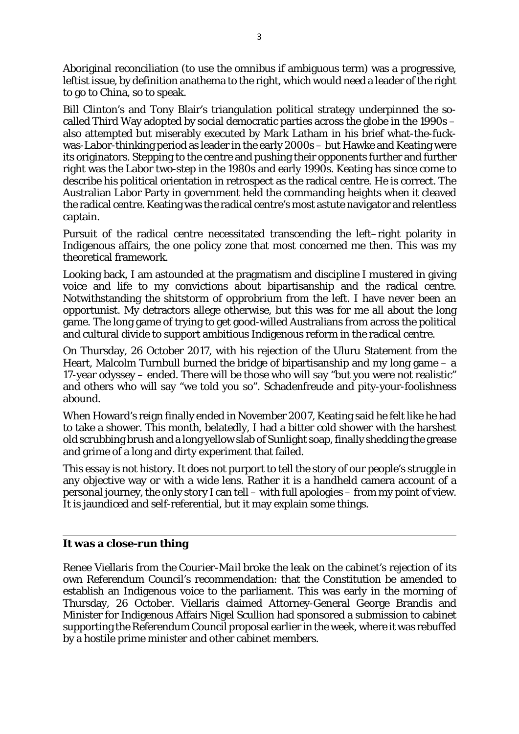Aboriginal reconciliation (to use the omnibus if ambiguous term) was a progressive, leftist issue, by definition anathema to the right, which would need a leader of the right to go to China, so to speak.

Bill Clinton's and Tony Blair's triangulation political strategy underpinned the socalled Third Way adopted by social democratic parties across the globe in the 1990s – also attempted but miserably executed by Mark Latham in his brief what-the-fuckwas-Labor-thinking period as leader in the early 2000s – but Hawke and Keating were its originators. Stepping to the centre and pushing their opponents further and further right was the Labor two-step in the 1980s and early 1990s. Keating has since come to describe his political orientation in retrospect as the radical centre. He is correct. The Australian Labor Party in government held the commanding heights when it cleaved the radical centre. Keating was the radical centre's most astute navigator and relentless captain.

Pursuit of the radical centre necessitated transcending the left–right polarity in Indigenous affairs, the one policy zone that most concerned me then. This was my theoretical framework.

Looking back, I am astounded at the pragmatism and discipline I mustered in giving voice and life to my convictions about bipartisanship and the radical centre. Notwithstanding the shitstorm of opprobrium from the left. I have never been an opportunist. My detractors allege otherwise, but this was for me all about the long game. The long game of trying to get good-willed Australians from across the political and cultural divide to support ambitious Indigenous reform in the radical centre.

On Thursday, 26 October 2017, with his rejection of the Uluru Statement from the Heart, Malcolm Turnbull burned the bridge of bipartisanship and my long game – a 17-year odyssey – ended. There will be those who will say "but you were not realistic" and others who will say "we told you so". Schadenfreude and pity-your-foolishness abound.

When Howard's reign finally ended in November 2007, Keating said he felt like he had to take a shower. This month, belatedly, I had a bitter cold shower with the harshest old scrubbing brush and a long yellow slab of Sunlight soap, finally shedding the grease and grime of a long and dirty experiment that failed.

This essay is not history. It does not purport to tell the story of our people's struggle in any objective way or with a wide lens. Rather it is a handheld camera account of a personal journey, the only story I can tell – with full apologies – from my point of view. It is jaundiced and self-referential, but it may explain some things.

## **It was a close-run thing**

Renee Viellaris from the *Courier-Mail* broke the leak on the cabinet's rejection of its own Referendum Council's recommendation: that the Constitution be amended to establish an Indigenous voice to the parliament. This was early in the morning of Thursday, 26 October. Viellaris claimed Attorney-General George Brandis and Minister for Indigenous Affairs Nigel Scullion had sponsored a submission to cabinet supporting the Referendum Council proposal earlier in the week, where it was rebuffed by a hostile prime minister and other cabinet members.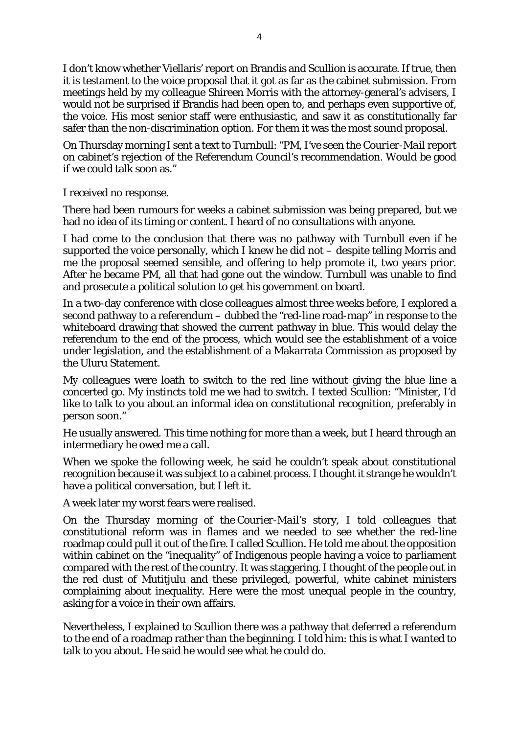I don't know whether Viellaris' report on Brandis and Scullion is accurate. If true, then it is testament to the voice proposal that it got as far as the cabinet submission. From meetings held by my colleague Shireen Morris with the attorney-general's advisers, I would not be surprised if Brandis had been open to, and perhaps even supportive of, the voice. His most senior staff were enthusiastic, and saw it as constitutionally far safer than the non-discrimination option. For them it was the most sound proposal.

On Thursday morning I sent a text to Turnbull: "PM, I've seen the *Courier-Mail* report on cabinet's rejection of the Referendum Council's recommendation. Would be good if we could talk soon as."

I received no response.

There had been rumours for weeks a cabinet submission was being prepared, but we had no idea of its timing or content. I heard of no consultations with anyone.

I had come to the conclusion that there was no pathway with Turnbull even if he supported the voice personally, which I knew he did not – despite telling Morris and me the proposal seemed sensible, and offering to help promote it, two years prior. After he became PM, all that had gone out the window. Turnbull was unable to find and prosecute a political solution to get his government on board.

In a two-day conference with close colleagues almost three weeks before, I explored a second pathway to a referendum – dubbed the "red-line road-map" in response to the whiteboard drawing that showed the current pathway in blue. This would delay the referendum to the end of the process, which would see the establishment of a voice under legislation, and the establishment of a Makarrata Commission as proposed by the Uluru Statement.

My colleagues were loath to switch to the red line without giving the blue line a concerted go. My instincts told me we had to switch. I texted Scullion: "Minister, I'd like to talk to you about an informal idea on constitutional recognition, preferably in person soon."

He usually answered. This time nothing for more than a week, but I heard through an intermediary he owed me a call.

When we spoke the following week, he said he couldn't speak about constitutional recognition because it was subject to a cabinet process. I thought it strange he wouldn't have a political conversation, but I left it.

A week later my worst fears were realised.

On the Thursday morning of the *Courier-Mail*'s story, I told colleagues that constitutional reform was in flames and we needed to see whether the red-line roadmap could pull it out of the fire. I called Scullion. He told me about the opposition within cabinet on the "inequality" of Indigenous people having a voice to parliament compared with the rest of the country. It was staggering. I thought of the people out in the red dust of Mutitjulu and these privileged, powerful, white cabinet ministers complaining about inequality. Here were the most unequal people in the country, asking for a voice in their own affairs.

Nevertheless, I explained to Scullion there was a pathway that deferred a referendum to the end of a roadmap rather than the beginning. I told him: this is what I wanted to talk to you about. He said he would see what he could do.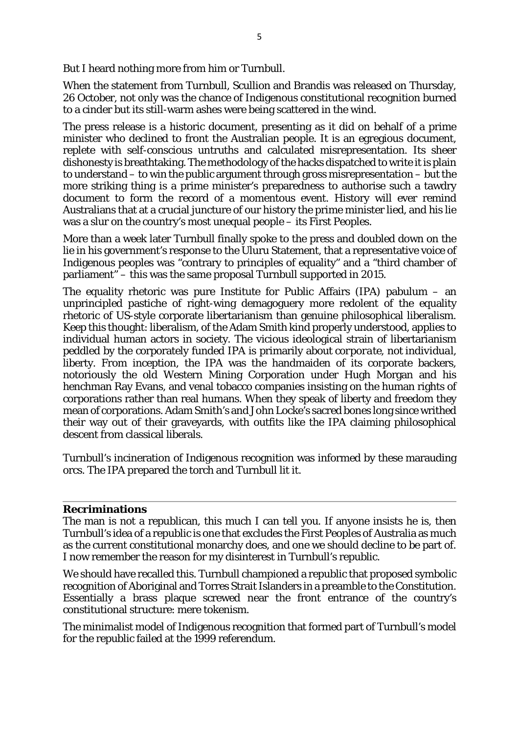But I heard nothing more from him or Turnbull.

When the statement from Turnbull, Scullion and Brandis was released on Thursday, 26 October, not only was the chance of Indigenous constitutional recognition burned to a cinder but its still-warm ashes were being scattered in the wind.

The press release is a historic document, presenting as it did on behalf of a prime minister who declined to front the Australian people. It is an egregious document, replete with self-conscious untruths and calculated misrepresentation. Its sheer dishonesty is breathtaking. The methodology of the hacks dispatched to write it is plain to understand – to win the public argument through gross misrepresentation – but the more striking thing is a prime minister's preparedness to authorise such a tawdry document to form the record of a momentous event. History will ever remind Australians that at a crucial juncture of our history the prime minister lied, and his lie was a slur on the country's most unequal people – its First Peoples.

More than a week later Turnbull finally spoke to the press and doubled down on the lie in his government's response to the Uluru Statement, that a representative voice of Indigenous peoples was "contrary to principles of equality" and a "third chamber of parliament" – this was the same proposal Turnbull supported in 2015.

The equality rhetoric was pure Institute for Public Affairs (IPA) pabulum – an unprincipled pastiche of right-wing demagoguery more redolent of the equality rhetoric of US-style corporate libertarianism than genuine philosophical liberalism. Keep this thought: liberalism, of the Adam Smith kind properly understood, applies to individual human actors in society. The vicious ideological strain of libertarianism peddled by the corporately funded IPA is primarily about *corporate*, not *individual*, liberty. From inception, the IPA was the handmaiden of its corporate backers, notoriously the old Western Mining Corporation under Hugh Morgan and his henchman Ray Evans, and venal tobacco companies insisting on the human rights of corporations rather than real humans. When they speak of liberty and freedom they mean of corporations. Adam Smith's and John Locke's sacred bones long since writhed their way out of their graveyards, with outfits like the IPA claiming philosophical descent from classical liberals.

Turnbull's incineration of Indigenous recognition was informed by these marauding orcs. The IPA prepared the torch and Turnbull lit it.

## **Recriminations**

The man is not a republican, this much I can tell you. If anyone insists he is, then Turnbull's idea of a republic is one that excludes the First Peoples of Australia as much as the current constitutional monarchy does, and one we should decline to be part of. I now remember the reason for my disinterest in Turnbull's republic.

We should have recalled this. Turnbull championed a republic that proposed symbolic recognition of Aboriginal and Torres Strait Islanders in a preamble to the Constitution. Essentially a brass plaque screwed near the front entrance of the country's constitutional structure: mere tokenism.

The minimalist model of Indigenous recognition that formed part of Turnbull's model for the republic failed at the 1999 referendum.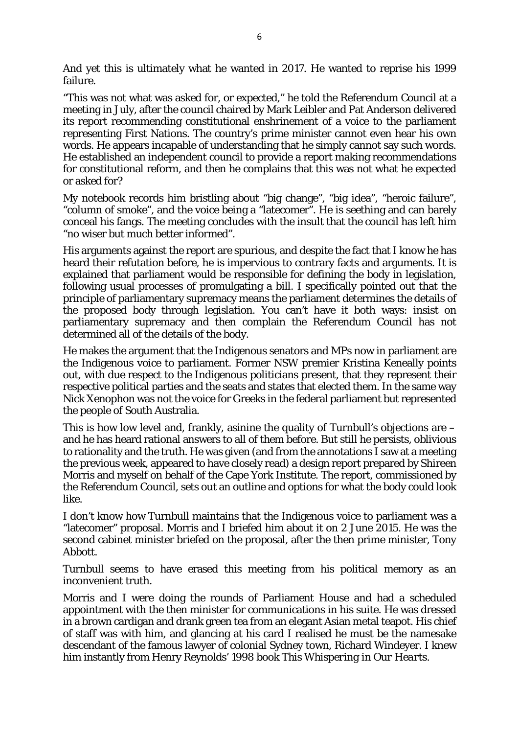And yet this is ultimately what he wanted in 2017. He wanted to reprise his 1999 failure.

"This was not what was asked for, or expected," he told the Referendum Council at a meeting in July, after the council chaired by Mark Leibler and Pat Anderson delivered its report recommending constitutional enshrinement of a voice to the parliament representing First Nations. The country's prime minister cannot even hear his own words. He appears incapable of understanding that he simply cannot say such words. He established an independent council to provide a report making recommendations for constitutional reform, and then he complains that this was not what he expected or asked for?

My notebook records him bristling about "big change", "big idea", "heroic failure", "column of smoke", and the voice being a "latecomer". He is seething and can barely conceal his fangs. The meeting concludes with the insult that the council has left him "no wiser but much better informed".

His arguments against the report are spurious, and despite the fact that I know he has heard their refutation before, he is impervious to contrary facts and arguments. It is explained that parliament would be responsible for defining the body in legislation, following usual processes of promulgating a bill. I specifically pointed out that the principle of parliamentary supremacy means the parliament determines the details of the proposed body through legislation. You can't have it both ways: insist on parliamentary supremacy and then complain the Referendum Council has not determined all of the details of the body.

He makes the argument that the Indigenous senators and MPs now in parliament are the Indigenous voice to parliament. Former NSW premier Kristina Keneally points out, with due respect to the Indigenous politicians present, that they represent their respective political parties and the seats and states that elected them. In the same way Nick Xenophon was not the voice for Greeks in the federal parliament but represented the people of South Australia.

This is how low level and, frankly, asinine the quality of Turnbull's objections are – and he has heard rational answers to all of them before. But still he persists, oblivious to rationality and the truth. He was given (and from the annotations I saw at a meeting the previous week, appeared to have closely read) a design report prepared by Shireen Morris and myself on behalf of the Cape York Institute. The report, commissioned by the Referendum Council, sets out an outline and options for what the body could look like.

I don't know how Turnbull maintains that the Indigenous voice to parliament was a "latecomer" proposal. Morris and I briefed him about it on 2 June 2015. He was the second cabinet minister briefed on the proposal, after the then prime minister, Tony Abbott.

Turnbull seems to have erased this meeting from his political memory as an inconvenient truth.

Morris and I were doing the rounds of Parliament House and had a scheduled appointment with the then minister for communications in his suite. He was dressed in a brown cardigan and drank green tea from an elegant Asian metal teapot. His chief of staff was with him, and glancing at his card I realised he must be the namesake descendant of the famous lawyer of colonial Sydney town, Richard Windeyer. I knew him instantly from Henry Reynolds' 1998 book *This Whispering in Our Hearts*.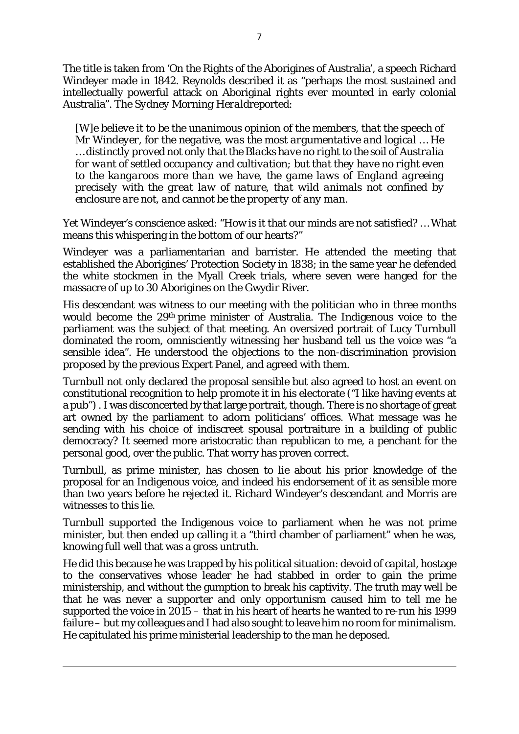The title is taken from 'On the Rights of the Aborigines of Australia', a speech Richard Windeyer made in 1842. Reynolds described it as "perhaps the most sustained and intellectually powerful attack on Aboriginal rights ever mounted in early colonial Australia". The *Sydney Morning Herald*reported:

*[W]e believe it to be the unanimous opinion of the members, that the speech of Mr Windeyer, for the negative, was the most argumentative and logical … He … distinctly proved not only that the Blacks have no right to the soil of Australia for want of settled occupancy and cultivation; but that they have no right even to the kangaroos more than we have, the game laws of England agreeing precisely with the great law of nature, that wild animals not confined by enclosure are not, and cannot be the property of any man.*

Yet Windeyer's conscience asked: "How is it that our minds are not satisfied? … What means this whispering in the bottom of our hearts?"

Windeyer was a parliamentarian and barrister. He attended the meeting that established the Aborigines' Protection Society in 1838; in the same year he defended the white stockmen in the Myall Creek trials, where seven were hanged for the massacre of up to 30 Aborigines on the Gwydir River.

His descendant was witness to our meeting with the politician who in three months would become the 29th prime minister of Australia. The Indigenous voice to the parliament was the subject of that meeting. An oversized portrait of Lucy Turnbull dominated the room, omnisciently witnessing her husband tell us the voice was "a sensible idea". He understood the objections to the non-discrimination provision proposed by the previous Expert Panel, and agreed with them.

Turnbull not only declared the proposal sensible but also agreed to host an event on constitutional recognition to help promote it in his electorate ("I like having events at a pub") . I was disconcerted by that large portrait, though. There is no shortage of great art owned by the parliament to adorn politicians' offices. What message was he sending with his choice of indiscreet spousal portraiture in a building of public democracy? It seemed more aristocratic than republican to me, a penchant for the personal good, over the public. That worry has proven correct.

Turnbull, as prime minister, has chosen to lie about his prior knowledge of the proposal for an Indigenous voice, and indeed his endorsement of it as sensible more than two years before he rejected it. Richard Windeyer's descendant and Morris are witnesses to this lie.

Turnbull supported the Indigenous voice to parliament when he was not prime minister, but then ended up calling it a "third chamber of parliament" when he was, knowing full well that was a gross untruth.

He did this because he was trapped by his political situation: devoid of capital, hostage to the conservatives whose leader he had stabbed in order to gain the prime ministership, and without the gumption to break his captivity. The truth may well be that he was never a supporter and only opportunism caused him to tell me he supported the voice in 2015 – that in his heart of hearts he wanted to re-run his 1999 failure – but my colleagues and I had also sought to leave him no room for minimalism. He capitulated his prime ministerial leadership to the man he deposed.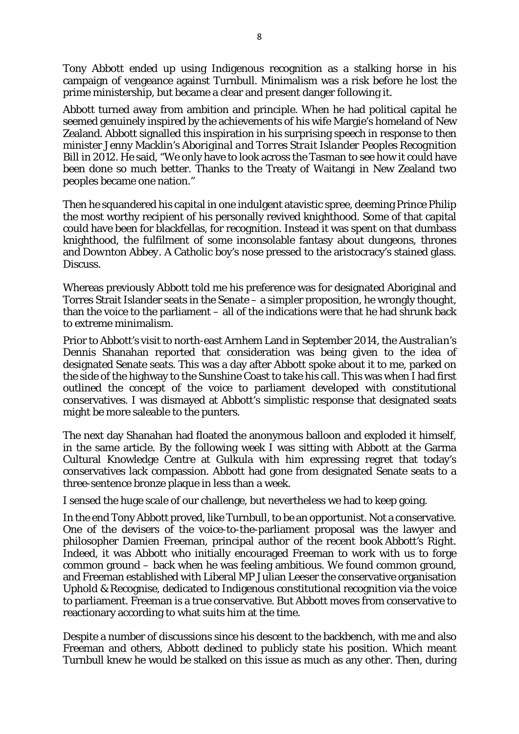Tony Abbott ended up using Indigenous recognition as a stalking horse in his campaign of vengeance against Turnbull. Minimalism was a risk before he lost the prime ministership, but became a clear and present danger following it.

Abbott turned away from ambition and principle. When he had political capital he seemed genuinely inspired by the achievements of his wife Margie's homeland of New Zealand. Abbott signalled this inspiration in his surprising speech in response to then minister Jenny Macklin's *Aboriginal and Torres Strait Islander Peoples Recognition Bill* in 2012. He said, "We only have to look across the Tasman to see how it could have been done so much better. Thanks to the Treaty of Waitangi in New Zealand two peoples became one nation."

Then he squandered his capital in one indulgent atavistic spree, deeming Prince Philip the most worthy recipient of his personally revived knighthood. Some of that capital could have been for blackfellas, for recognition. Instead it was spent on that dumbass knighthood, the fulfilment of some inconsolable fantasy about dungeons, thrones and *Downton Abbey*. A Catholic boy's nose pressed to the aristocracy's stained glass. Discuss.

Whereas previously Abbott told me his preference was for designated Aboriginal and Torres Strait Islander seats in the Senate – a simpler proposition, he wrongly thought, than the voice to the parliament – all of the indications were that he had shrunk back to extreme minimalism.

Prior to Abbott's visit to north-east Arnhem Land in September 2014, the *Australian*'s Dennis Shanahan reported that consideration was being given to the idea of designated Senate seats. This was a day after Abbott spoke about it to me, parked on the side of the highway to the Sunshine Coast to take his call. This was when I had first outlined the concept of the voice to parliament developed with constitutional conservatives. I was dismayed at Abbott's simplistic response that designated seats might be more saleable to the punters.

The next day Shanahan had floated the anonymous balloon and exploded it himself, in the same article. By the following week I was sitting with Abbott at the Garma Cultural Knowledge Centre at Gulkula with him expressing regret that today's conservatives lack compassion. Abbott had gone from designated Senate seats to a three-sentence bronze plaque in less than a week.

I sensed the huge scale of our challenge, but nevertheless we had to keep going.

In the end Tony Abbott proved, like Turnbull, to be an opportunist. Not a conservative. One of the devisers of the voice-to-the-parliament proposal was the lawyer and philosopher Damien Freeman, principal author of the recent book *Abbott's Right*. Indeed, it was Abbott who initially encouraged Freeman to work with us to forge common ground – back when he was feeling ambitious. We found common ground, and Freeman established with Liberal MP Julian Leeser the conservative organisation Uphold & Recognise, dedicated to Indigenous constitutional recognition via the voice to parliament. Freeman is a true conservative. But Abbott moves from conservative to reactionary according to what suits him at the time.

Despite a number of discussions since his descent to the backbench, with me and also Freeman and others, Abbott declined to publicly state his position. Which meant Turnbull knew he would be stalked on this issue as much as any other. Then, during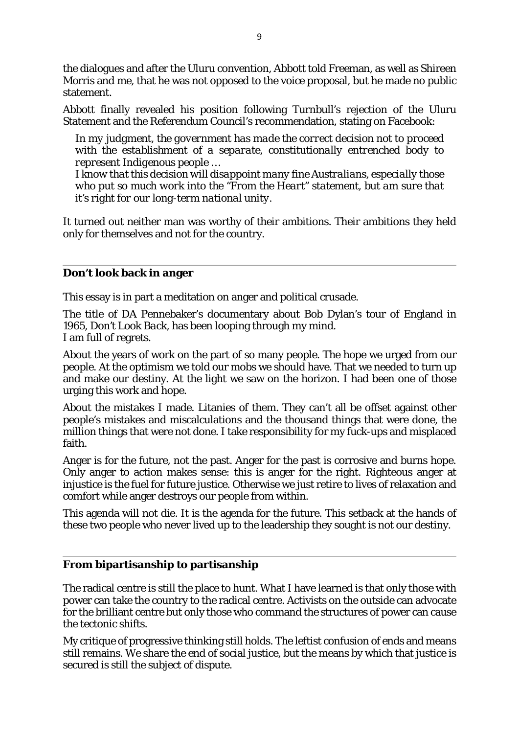the dialogues and after the Uluru convention, Abbott told Freeman, as well as Shireen Morris and me, that he was not opposed to the voice proposal, but he made no public statement.

Abbott finally revealed his position following Turnbull's rejection of the Uluru Statement and the Referendum Council's recommendation, stating on Facebook:

*In my judgment, the government has made the correct decision not to proceed with the establishment of a separate, constitutionally entrenched body to represent Indigenous people …*

*I know that this decision will disappoint many fine Australians, especially those who put so much work into the "From the Heart" statement, but am sure that it's right for our long-term national unity.*

It turned out neither man was worthy of their ambitions. Their ambitions they held only for themselves and not for the country.

## **Don't look back in anger**

This essay is in part a meditation on anger and political crusade.

The title of DA Pennebaker's documentary about Bob Dylan's tour of England in 1965, *Don't Look Back*, has been looping through my mind. I am full of regrets.

About the years of work on the part of so many people. The hope we urged from our people. At the optimism we told our mobs we should have. That we needed to turn up and make our destiny. At the light we saw on the horizon. I had been one of those urging this work and hope.

About the mistakes I made. Litanies of them. They can't all be offset against other people's mistakes and miscalculations and the thousand things that were done, the million things that were not done. I take responsibility for my fuck-ups and misplaced faith.

Anger is for the future, not the past. Anger for the past is corrosive and burns hope. Only anger to action makes sense: this is anger for the right. Righteous anger at injustice is the fuel for future justice. Otherwise we just retire to lives of relaxation and comfort while anger destroys our people from within.

This agenda will not die. It is the agenda for the future. This setback at the hands of these two people who never lived up to the leadership they sought is not our destiny.

## **From bipartisanship to partisanship**

The radical centre is still the place to hunt. What I have learned is that only those with power can take the country to the radical centre. Activists on the outside can advocate for the brilliant centre but only those who command the structures of power can cause the tectonic shifts.

My critique of progressive thinking still holds. The leftist confusion of ends and means still remains. We share the end of social justice, but the means by which that justice is secured is still the subject of dispute.